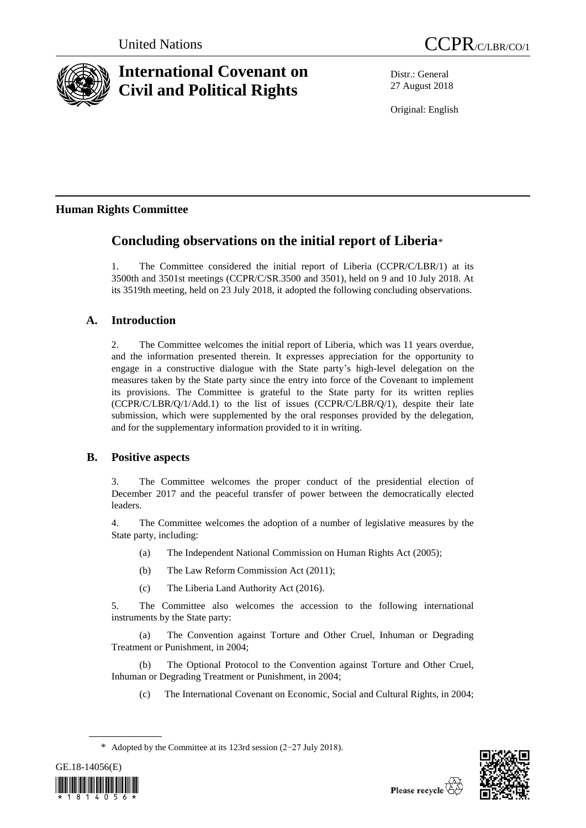

# **International Covenant on Civil and Political Rights**

Distr.: General 27 August 2018

Original: English

## **Human Rights Committee**

## **Concluding observations on the initial report of Liberia**\*

1. The Committee considered the initial report of Liberia (CCPR/C/LBR/1) at its 3500th and 3501st meetings (CCPR/C/SR.3500 and 3501), held on 9 and 10 July 2018. At its 3519th meeting, held on 23 July 2018, it adopted the following concluding observations.

## **A. Introduction**

2. The Committee welcomes the initial report of Liberia, which was 11 years overdue, and the information presented therein. It expresses appreciation for the opportunity to engage in a constructive dialogue with the State party's high-level delegation on the measures taken by the State party since the entry into force of the Covenant to implement its provisions. The Committee is grateful to the State party for its written replies (CCPR/C/LBR/Q/1/Add.1) to the list of issues (CCPR/C/LBR/Q/1), despite their late submission, which were supplemented by the oral responses provided by the delegation, and for the supplementary information provided to it in writing.

### **B. Positive aspects**

3. The Committee welcomes the proper conduct of the presidential election of December 2017 and the peaceful transfer of power between the democratically elected leaders.

4. The Committee welcomes the adoption of a number of legislative measures by the State party, including:

- (a) The Independent National Commission on Human Rights Act (2005);
- (b) The Law Reform Commission Act (2011);
- (c) The Liberia Land Authority Act (2016).

5. The Committee also welcomes the accession to the following international instruments by the State party:

(a) The Convention against Torture and Other Cruel, Inhuman or Degrading Treatment or Punishment, in 2004;

(b) The Optional Protocol to the Convention against Torture and Other Cruel, Inhuman or Degrading Treatment or Punishment, in 2004;

(c) The International Covenant on Economic, Social and Cultural Rights, in 2004;

<sup>\*</sup> Adopted by the Committee at its 123rd session (2−27 July 2018).



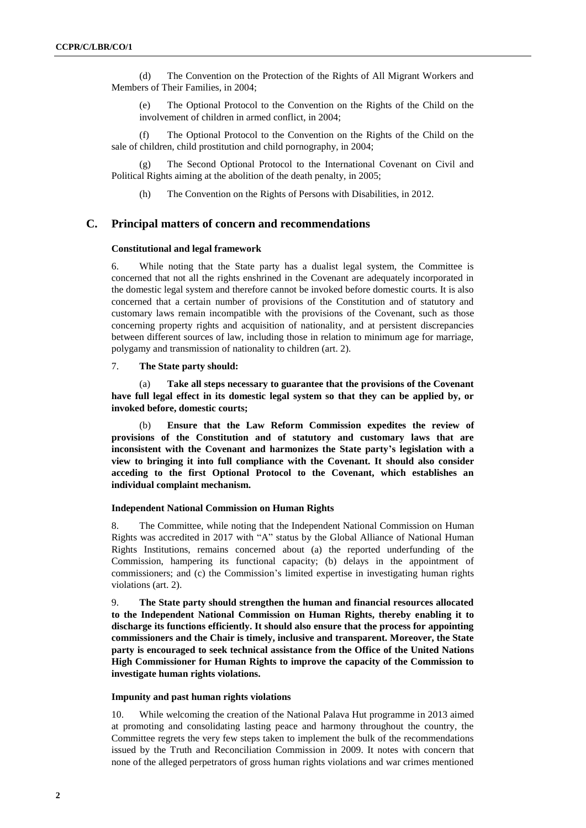(d) The Convention on the Protection of the Rights of All Migrant Workers and Members of Their Families, in 2004;

(e) The Optional Protocol to the Convention on the Rights of the Child on the involvement of children in armed conflict, in 2004;

(f) The Optional Protocol to the Convention on the Rights of the Child on the sale of children, child prostitution and child pornography, in 2004;

(g) The Second Optional Protocol to the International Covenant on Civil and Political Rights aiming at the abolition of the death penalty, in 2005;

(h) The Convention on the Rights of Persons with Disabilities, in 2012.

#### **C. Principal matters of concern and recommendations**

#### **Constitutional and legal framework**

6. While noting that the State party has a dualist legal system, the Committee is concerned that not all the rights enshrined in the Covenant are adequately incorporated in the domestic legal system and therefore cannot be invoked before domestic courts. It is also concerned that a certain number of provisions of the Constitution and of statutory and customary laws remain incompatible with the provisions of the Covenant, such as those concerning property rights and acquisition of nationality, and at persistent discrepancies between different sources of law, including those in relation to minimum age for marriage, polygamy and transmission of nationality to children (art. 2).

#### 7. **The State party should:**

(a) **Take all steps necessary to guarantee that the provisions of the Covenant have full legal effect in its domestic legal system so that they can be applied by, or invoked before, domestic courts;** 

(b) **Ensure that the Law Reform Commission expedites the review of provisions of the Constitution and of statutory and customary laws that are inconsistent with the Covenant and harmonizes the State party's legislation with a view to bringing it into full compliance with the Covenant. It should also consider acceding to the first Optional Protocol to the Covenant, which establishes an individual complaint mechanism.**

#### **Independent National Commission on Human Rights**

8. The Committee, while noting that the Independent National Commission on Human Rights was accredited in 2017 with "A" status by the Global Alliance of National Human Rights Institutions, remains concerned about (a) the reported underfunding of the Commission, hampering its functional capacity; (b) delays in the appointment of commissioners; and (c) the Commission's limited expertise in investigating human rights violations (art. 2).

9. **The State party should strengthen the human and financial resources allocated to the Independent National Commission on Human Rights, thereby enabling it to discharge its functions efficiently. It should also ensure that the process for appointing commissioners and the Chair is timely, inclusive and transparent. Moreover, the State party is encouraged to seek technical assistance from the Office of the United Nations High Commissioner for Human Rights to improve the capacity of the Commission to investigate human rights violations.**

#### **Impunity and past human rights violations**

10. While welcoming the creation of the National Palava Hut programme in 2013 aimed at promoting and consolidating lasting peace and harmony throughout the country, the Committee regrets the very few steps taken to implement the bulk of the recommendations issued by the Truth and Reconciliation Commission in 2009. It notes with concern that none of the alleged perpetrators of gross human rights violations and war crimes mentioned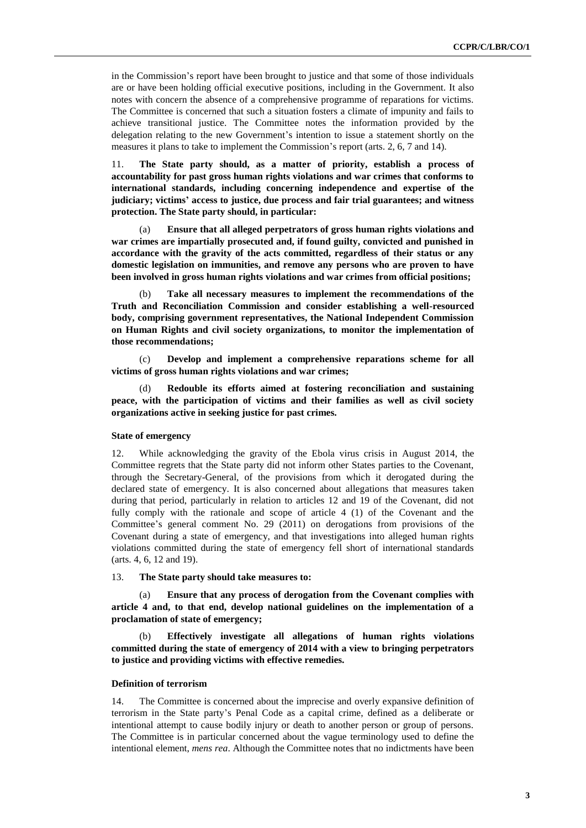in the Commission's report have been brought to justice and that some of those individuals are or have been holding official executive positions, including in the Government. It also notes with concern the absence of a comprehensive programme of reparations for victims. The Committee is concerned that such a situation fosters a climate of impunity and fails to achieve transitional justice. The Committee notes the information provided by the delegation relating to the new Government's intention to issue a statement shortly on the measures it plans to take to implement the Commission's report (arts. 2, 6, 7 and 14).

11. **The State party should, as a matter of priority, establish a process of accountability for past gross human rights violations and war crimes that conforms to international standards, including concerning independence and expertise of the judiciary; victims' access to justice, due process and fair trial guarantees; and witness protection. The State party should, in particular:** 

(a) **Ensure that all alleged perpetrators of gross human rights violations and war crimes are impartially prosecuted and, if found guilty, convicted and punished in accordance with the gravity of the acts committed, regardless of their status or any domestic legislation on immunities, and remove any persons who are proven to have been involved in gross human rights violations and war crimes from official positions;**

(b) **Take all necessary measures to implement the recommendations of the Truth and Reconciliation Commission and consider establishing a well-resourced body, comprising government representatives, the National Independent Commission on Human Rights and civil society organizations, to monitor the implementation of those recommendations;**

(c) **Develop and implement a comprehensive reparations scheme for all victims of gross human rights violations and war crimes;** 

Redouble its efforts aimed at fostering reconciliation and sustaining **peace, with the participation of victims and their families as well as civil society organizations active in seeking justice for past crimes.**

#### **State of emergency**

12. While acknowledging the gravity of the Ebola virus crisis in August 2014, the Committee regrets that the State party did not inform other States parties to the Covenant, through the Secretary-General, of the provisions from which it derogated during the declared state of emergency. It is also concerned about allegations that measures taken during that period, particularly in relation to articles 12 and 19 of the Covenant, did not fully comply with the rationale and scope of article 4 (1) of the Covenant and the Committee's general comment No. 29 (2011) on derogations from provisions of the Covenant during a state of emergency, and that investigations into alleged human rights violations committed during the state of emergency fell short of international standards (arts. 4, 6, 12 and 19).

#### 13. **The State party should take measures to:**

Ensure that any process of derogation from the Covenant complies with **article 4 and, to that end, develop national guidelines on the implementation of a proclamation of state of emergency;** 

(b) **Effectively investigate all allegations of human rights violations committed during the state of emergency of 2014 with a view to bringing perpetrators to justice and providing victims with effective remedies.** 

#### **Definition of terrorism**

14. The Committee is concerned about the imprecise and overly expansive definition of terrorism in the State party's Penal Code as a capital crime, defined as a deliberate or intentional attempt to cause bodily injury or death to another person or group of persons. The Committee is in particular concerned about the vague terminology used to define the intentional element, *mens rea*. Although the Committee notes that no indictments have been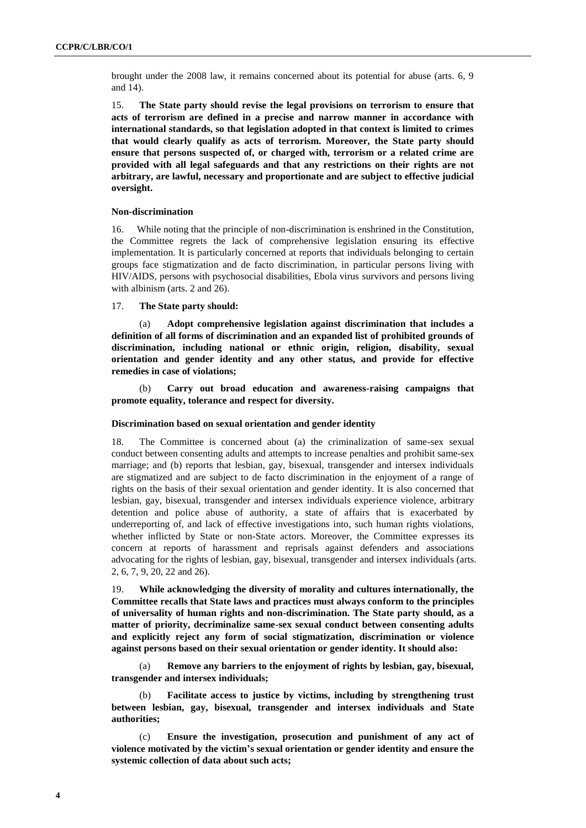brought under the 2008 law, it remains concerned about its potential for abuse (arts. 6, 9 and 14).

15. **The State party should revise the legal provisions on terrorism to ensure that acts of terrorism are defined in a precise and narrow manner in accordance with international standards, so that legislation adopted in that context is limited to crimes that would clearly qualify as acts of terrorism. Moreover, the State party should ensure that persons suspected of, or charged with, terrorism or a related crime are provided with all legal safeguards and that any restrictions on their rights are not arbitrary, are lawful, necessary and proportionate and are subject to effective judicial oversight.**

#### **Non-discrimination**

16. While noting that the principle of non-discrimination is enshrined in the Constitution, the Committee regrets the lack of comprehensive legislation ensuring its effective implementation. It is particularly concerned at reports that individuals belonging to certain groups face stigmatization and de facto discrimination, in particular persons living with HIV/AIDS, persons with psychosocial disabilities, Ebola virus survivors and persons living with albinism (arts. 2 and 26).

17. **The State party should:** 

(a) **Adopt comprehensive legislation against discrimination that includes a definition of all forms of discrimination and an expanded list of prohibited grounds of discrimination, including national or ethnic origin, religion, disability, sexual orientation and gender identity and any other status, and provide for effective remedies in case of violations;** 

(b) **Carry out broad education and awareness-raising campaigns that promote equality, tolerance and respect for diversity.**

#### **Discrimination based on sexual orientation and gender identity**

18. The Committee is concerned about (a) the criminalization of same-sex sexual conduct between consenting adults and attempts to increase penalties and prohibit same-sex marriage; and (b) reports that lesbian, gay, bisexual, transgender and intersex individuals are stigmatized and are subject to de facto discrimination in the enjoyment of a range of rights on the basis of their sexual orientation and gender identity. It is also concerned that lesbian, gay, bisexual, transgender and intersex individuals experience violence, arbitrary detention and police abuse of authority, a state of affairs that is exacerbated by underreporting of, and lack of effective investigations into, such human rights violations, whether inflicted by State or non-State actors. Moreover, the Committee expresses its concern at reports of harassment and reprisals against defenders and associations advocating for the rights of lesbian, gay, bisexual, transgender and intersex individuals (arts. 2, 6, 7, 9, 20, 22 and 26).

19. **While acknowledging the diversity of morality and cultures internationally, the Committee recalls that State laws and practices must always conform to the principles of universality of human rights and non-discrimination. The State party should, as a matter of priority, decriminalize same-sex sexual conduct between consenting adults and explicitly reject any form of social stigmatization, discrimination or violence against persons based on their sexual orientation or gender identity. It should also:** 

(a) **Remove any barriers to the enjoyment of rights by lesbian, gay, bisexual, transgender and intersex individuals;** 

(b) **Facilitate access to justice by victims, including by strengthening trust between lesbian, gay, bisexual, transgender and intersex individuals and State authorities;** 

(c) **Ensure the investigation, prosecution and punishment of any act of violence motivated by the victim's sexual orientation or gender identity and ensure the systemic collection of data about such acts;**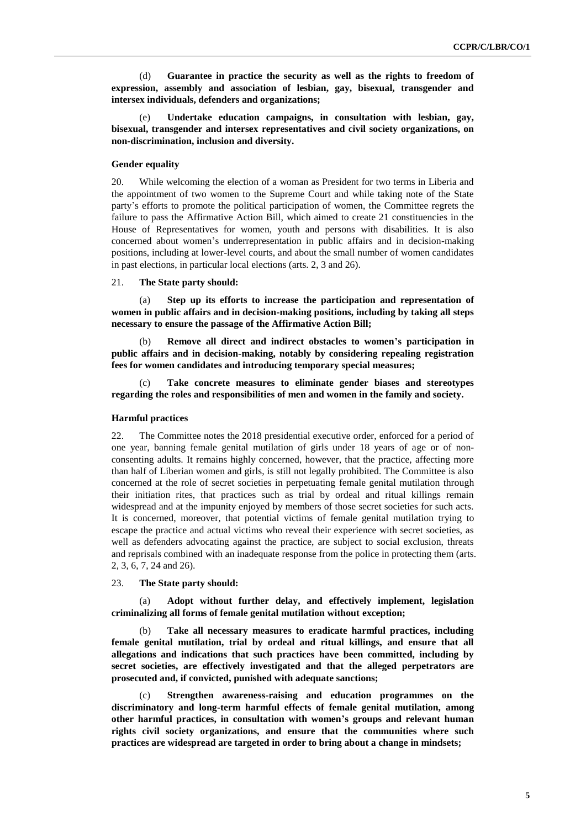(d) **Guarantee in practice the security as well as the rights to freedom of expression, assembly and association of lesbian, gay, bisexual, transgender and intersex individuals, defenders and organizations;** 

(e) **Undertake education campaigns, in consultation with lesbian, gay, bisexual, transgender and intersex representatives and civil society organizations, on non-discrimination, inclusion and diversity.**

#### **Gender equality**

20. While welcoming the election of a woman as President for two terms in Liberia and the appointment of two women to the Supreme Court and while taking note of the State party's efforts to promote the political participation of women, the Committee regrets the failure to pass the Affirmative Action Bill, which aimed to create 21 constituencies in the House of Representatives for women, youth and persons with disabilities. It is also concerned about women's underrepresentation in public affairs and in decision-making positions, including at lower-level courts, and about the small number of women candidates in past elections, in particular local elections (arts. 2, 3 and 26).

#### 21. **The State party should:**

(a) **Step up its efforts to increase the participation and representation of women in public affairs and in decision-making positions, including by taking all steps necessary to ensure the passage of the Affirmative Action Bill;** 

Remove all direct and indirect obstacles to women's participation in **public affairs and in decision-making, notably by considering repealing registration fees for women candidates and introducing temporary special measures;** 

(c) **Take concrete measures to eliminate gender biases and stereotypes regarding the roles and responsibilities of men and women in the family and society.** 

#### **Harmful practices**

22. The Committee notes the 2018 presidential executive order, enforced for a period of one year, banning female genital mutilation of girls under 18 years of age or of nonconsenting adults. It remains highly concerned, however, that the practice, affecting more than half of Liberian women and girls, is still not legally prohibited. The Committee is also concerned at the role of secret societies in perpetuating female genital mutilation through their initiation rites, that practices such as trial by ordeal and ritual killings remain widespread and at the impunity enjoyed by members of those secret societies for such acts. It is concerned, moreover, that potential victims of female genital mutilation trying to escape the practice and actual victims who reveal their experience with secret societies, as well as defenders advocating against the practice, are subject to social exclusion, threats and reprisals combined with an inadequate response from the police in protecting them (arts. 2, 3, 6, 7, 24 and 26).

#### 23. **The State party should:**

(a) **Adopt without further delay, and effectively implement, legislation criminalizing all forms of female genital mutilation without exception;** 

(b) **Take all necessary measures to eradicate harmful practices, including female genital mutilation, trial by ordeal and ritual killings, and ensure that all allegations and indications that such practices have been committed, including by secret societies, are effectively investigated and that the alleged perpetrators are prosecuted and, if convicted, punished with adequate sanctions;** 

(c) **Strengthen awareness-raising and education programmes on the discriminatory and long-term harmful effects of female genital mutilation, among other harmful practices, in consultation with women's groups and relevant human rights civil society organizations, and ensure that the communities where such practices are widespread are targeted in order to bring about a change in mindsets;**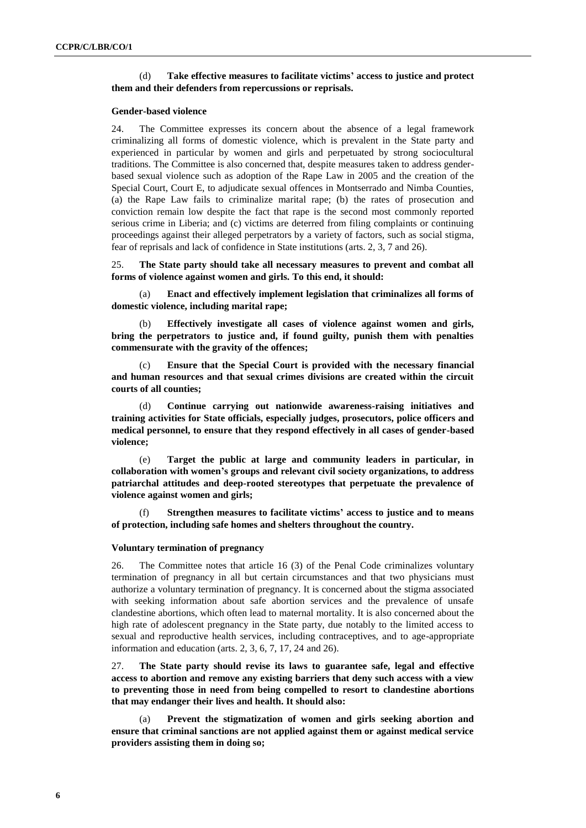#### (d) **Take effective measures to facilitate victims' access to justice and protect them and their defenders from repercussions or reprisals.**

#### **Gender-based violence**

24. The Committee expresses its concern about the absence of a legal framework criminalizing all forms of domestic violence, which is prevalent in the State party and experienced in particular by women and girls and perpetuated by strong sociocultural traditions. The Committee is also concerned that, despite measures taken to address genderbased sexual violence such as adoption of the Rape Law in 2005 and the creation of the Special Court, Court E, to adjudicate sexual offences in Montserrado and Nimba Counties, (a) the Rape Law fails to criminalize marital rape; (b) the rates of prosecution and conviction remain low despite the fact that rape is the second most commonly reported serious crime in Liberia; and (c) victims are deterred from filing complaints or continuing proceedings against their alleged perpetrators by a variety of factors, such as social stigma, fear of reprisals and lack of confidence in State institutions (arts. 2, 3, 7 and 26).

25. **The State party should take all necessary measures to prevent and combat all forms of violence against women and girls. To this end, it should:** 

(a) **Enact and effectively implement legislation that criminalizes all forms of domestic violence, including marital rape;** 

(b) **Effectively investigate all cases of violence against women and girls, bring the perpetrators to justice and, if found guilty, punish them with penalties commensurate with the gravity of the offences;** 

(c) **Ensure that the Special Court is provided with the necessary financial and human resources and that sexual crimes divisions are created within the circuit courts of all counties;** 

(d) **Continue carrying out nationwide awareness-raising initiatives and training activities for State officials, especially judges, prosecutors, police officers and medical personnel, to ensure that they respond effectively in all cases of gender-based violence;** 

(e) **Target the public at large and community leaders in particular, in collaboration with women's groups and relevant civil society organizations, to address patriarchal attitudes and deep-rooted stereotypes that perpetuate the prevalence of violence against women and girls;** 

(f) **Strengthen measures to facilitate victims' access to justice and to means of protection, including safe homes and shelters throughout the country.**

#### **Voluntary termination of pregnancy**

26. The Committee notes that article 16 (3) of the Penal Code criminalizes voluntary termination of pregnancy in all but certain circumstances and that two physicians must authorize a voluntary termination of pregnancy. It is concerned about the stigma associated with seeking information about safe abortion services and the prevalence of unsafe clandestine abortions, which often lead to maternal mortality. It is also concerned about the high rate of adolescent pregnancy in the State party, due notably to the limited access to sexual and reproductive health services, including contraceptives, and to age-appropriate information and education (arts. 2, 3, 6, 7, 17, 24 and 26).

27. **The State party should revise its laws to guarantee safe, legal and effective access to abortion and remove any existing barriers that deny such access with a view to preventing those in need from being compelled to resort to clandestine abortions that may endanger their lives and health. It should also:** 

(a) **Prevent the stigmatization of women and girls seeking abortion and ensure that criminal sanctions are not applied against them or against medical service providers assisting them in doing so;**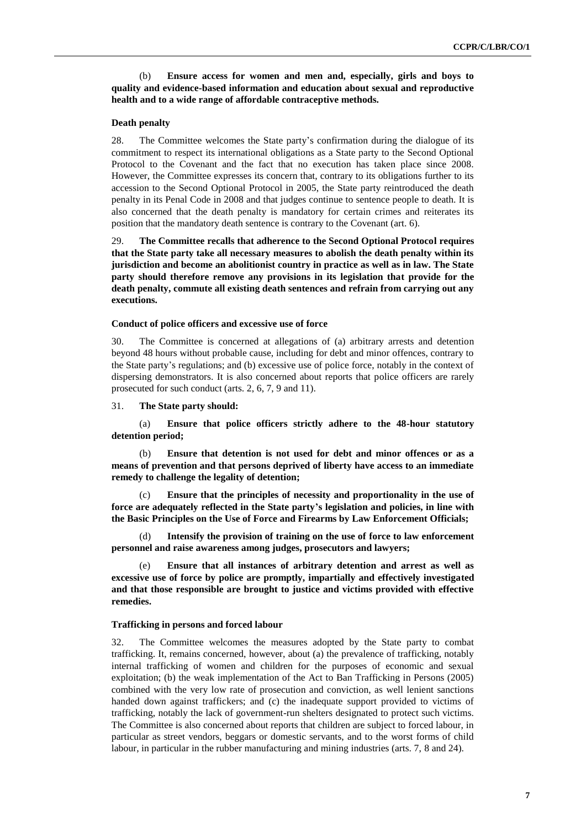(b) **Ensure access for women and men and, especially, girls and boys to quality and evidence-based information and education about sexual and reproductive health and to a wide range of affordable contraceptive methods.**

#### **Death penalty**

28. The Committee welcomes the State party's confirmation during the dialogue of its commitment to respect its international obligations as a State party to the Second Optional Protocol to the Covenant and the fact that no execution has taken place since 2008. However, the Committee expresses its concern that, contrary to its obligations further to its accession to the Second Optional Protocol in 2005, the State party reintroduced the death penalty in its Penal Code in 2008 and that judges continue to sentence people to death. It is also concerned that the death penalty is mandatory for certain crimes and reiterates its position that the mandatory death sentence is contrary to the Covenant (art. 6).

29. **The Committee recalls that adherence to the Second Optional Protocol requires that the State party take all necessary measures to abolish the death penalty within its jurisdiction and become an abolitionist country in practice as well as in law. The State party should therefore remove any provisions in its legislation that provide for the death penalty, commute all existing death sentences and refrain from carrying out any executions.** 

#### **Conduct of police officers and excessive use of force**

30. The Committee is concerned at allegations of (a) arbitrary arrests and detention beyond 48 hours without probable cause, including for debt and minor offences, contrary to the State party's regulations; and (b) excessive use of police force, notably in the context of dispersing demonstrators. It is also concerned about reports that police officers are rarely prosecuted for such conduct (arts. 2, 6, 7, 9 and 11).

31. **The State party should:** 

(a) **Ensure that police officers strictly adhere to the 48-hour statutory detention period;** 

(b) **Ensure that detention is not used for debt and minor offences or as a means of prevention and that persons deprived of liberty have access to an immediate remedy to challenge the legality of detention;** 

(c) **Ensure that the principles of necessity and proportionality in the use of force are adequately reflected in the State party's legislation and policies, in line with the Basic Principles on the Use of Force and Firearms by Law Enforcement Officials;** 

(d) **Intensify the provision of training on the use of force to law enforcement personnel and raise awareness among judges, prosecutors and lawyers;** 

Ensure that all instances of arbitrary detention and arrest as well as **excessive use of force by police are promptly, impartially and effectively investigated and that those responsible are brought to justice and victims provided with effective remedies.**

#### **Trafficking in persons and forced labour**

32. The Committee welcomes the measures adopted by the State party to combat trafficking. It, remains concerned, however, about (a) the prevalence of trafficking, notably internal trafficking of women and children for the purposes of economic and sexual exploitation; (b) the weak implementation of the Act to Ban Trafficking in Persons (2005) combined with the very low rate of prosecution and conviction, as well lenient sanctions handed down against traffickers; and (c) the inadequate support provided to victims of trafficking, notably the lack of government-run shelters designated to protect such victims. The Committee is also concerned about reports that children are subject to forced labour, in particular as street vendors, beggars or domestic servants, and to the worst forms of child labour, in particular in the rubber manufacturing and mining industries (arts. 7, 8 and 24).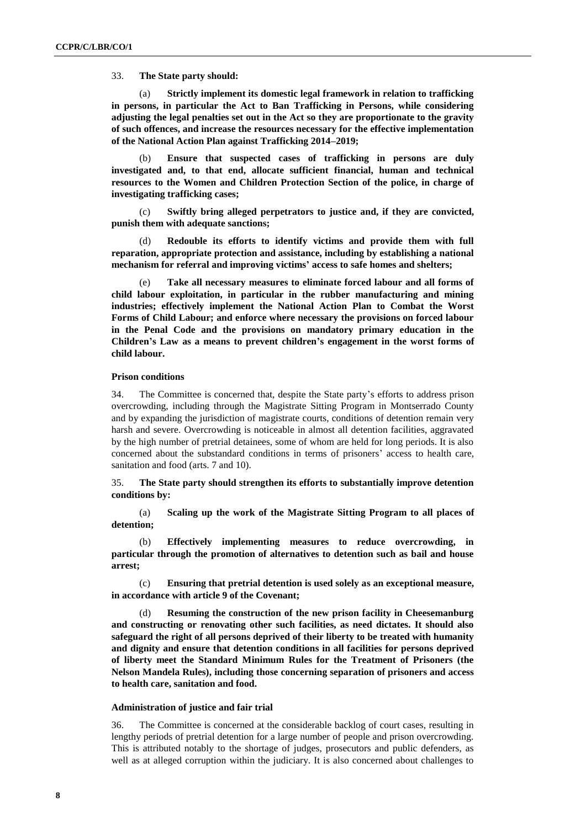33. **The State party should:** 

(a) **Strictly implement its domestic legal framework in relation to trafficking in persons, in particular the Act to Ban Trafficking in Persons, while considering adjusting the legal penalties set out in the Act so they are proportionate to the gravity of such offences, and increase the resources necessary for the effective implementation of the National Action Plan against Trafficking 2014–2019;** 

(b) **Ensure that suspected cases of trafficking in persons are duly investigated and, to that end, allocate sufficient financial, human and technical resources to the Women and Children Protection Section of the police, in charge of investigating trafficking cases;** 

(c) **Swiftly bring alleged perpetrators to justice and, if they are convicted, punish them with adequate sanctions;** 

(d) **Redouble its efforts to identify victims and provide them with full reparation, appropriate protection and assistance, including by establishing a national mechanism for referral and improving victims' access to safe homes and shelters;** 

(e) **Take all necessary measures to eliminate forced labour and all forms of child labour exploitation, in particular in the rubber manufacturing and mining industries; effectively implement the National Action Plan to Combat the Worst Forms of Child Labour; and enforce where necessary the provisions on forced labour in the Penal Code and the provisions on mandatory primary education in the Children's Law as a means to prevent children's engagement in the worst forms of child labour.** 

#### **Prison conditions**

34. The Committee is concerned that, despite the State party's efforts to address prison overcrowding, including through the Magistrate Sitting Program in Montserrado County and by expanding the jurisdiction of magistrate courts, conditions of detention remain very harsh and severe. Overcrowding is noticeable in almost all detention facilities, aggravated by the high number of pretrial detainees, some of whom are held for long periods. It is also concerned about the substandard conditions in terms of prisoners' access to health care, sanitation and food (arts. 7 and 10).

35. **The State party should strengthen its efforts to substantially improve detention conditions by:** 

(a) **Scaling up the work of the Magistrate Sitting Program to all places of detention;** 

(b) **Effectively implementing measures to reduce overcrowding, in particular through the promotion of alternatives to detention such as bail and house arrest;** 

(c) **Ensuring that pretrial detention is used solely as an exceptional measure, in accordance with article 9 of the Covenant;**

Resuming the construction of the new prison facility in Cheesemanburg **and constructing or renovating other such facilities, as need dictates. It should also safeguard the right of all persons deprived of their liberty to be treated with humanity and dignity and ensure that detention conditions in all facilities for persons deprived of liberty meet the Standard Minimum Rules for the Treatment of Prisoners (the Nelson Mandela Rules), including those concerning separation of prisoners and access to health care, sanitation and food.** 

#### **Administration of justice and fair trial**

36. The Committee is concerned at the considerable backlog of court cases, resulting in lengthy periods of pretrial detention for a large number of people and prison overcrowding. This is attributed notably to the shortage of judges, prosecutors and public defenders, as well as at alleged corruption within the judiciary. It is also concerned about challenges to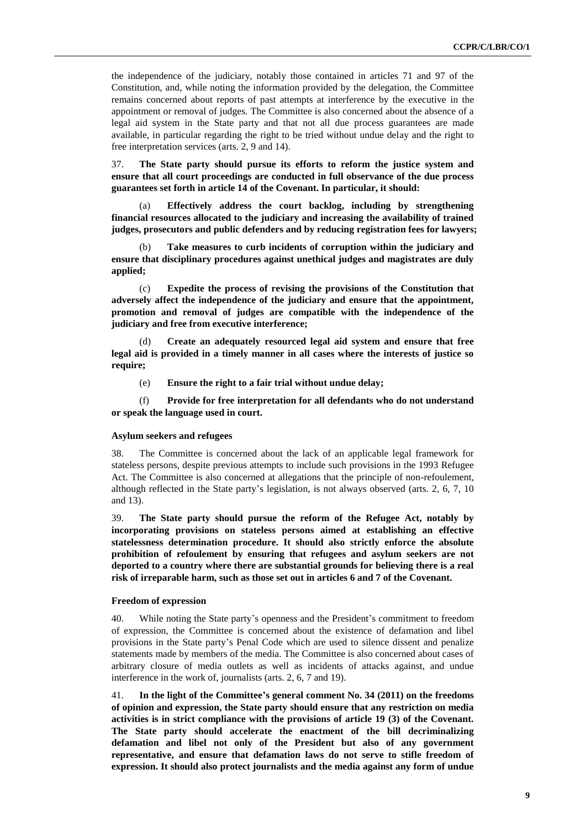the independence of the judiciary, notably those contained in articles 71 and 97 of the Constitution, and, while noting the information provided by the delegation, the Committee remains concerned about reports of past attempts at interference by the executive in the appointment or removal of judges. The Committee is also concerned about the absence of a legal aid system in the State party and that not all due process guarantees are made available, in particular regarding the right to be tried without undue delay and the right to free interpretation services (arts. 2, 9 and 14).

37. **The State party should pursue its efforts to reform the justice system and ensure that all court proceedings are conducted in full observance of the due process guarantees set forth in article 14 of the Covenant. In particular, it should:** 

(a) **Effectively address the court backlog, including by strengthening financial resources allocated to the judiciary and increasing the availability of trained judges, prosecutors and public defenders and by reducing registration fees for lawyers;** 

(b) **Take measures to curb incidents of corruption within the judiciary and ensure that disciplinary procedures against unethical judges and magistrates are duly applied;** 

(c) **Expedite the process of revising the provisions of the Constitution that adversely affect the independence of the judiciary and ensure that the appointment, promotion and removal of judges are compatible with the independence of the judiciary and free from executive interference;** 

(d) **Create an adequately resourced legal aid system and ensure that free legal aid is provided in a timely manner in all cases where the interests of justice so require;** 

(e) **Ensure the right to a fair trial without undue delay;**

(f) **Provide for free interpretation for all defendants who do not understand or speak the language used in court.**

#### **Asylum seekers and refugees**

38. The Committee is concerned about the lack of an applicable legal framework for stateless persons, despite previous attempts to include such provisions in the 1993 Refugee Act. The Committee is also concerned at allegations that the principle of non-refoulement, although reflected in the State party's legislation, is not always observed (arts. 2, 6, 7, 10 and 13).

39. **The State party should pursue the reform of the Refugee Act, notably by incorporating provisions on stateless persons aimed at establishing an effective statelessness determination procedure. It should also strictly enforce the absolute prohibition of refoulement by ensuring that refugees and asylum seekers are not deported to a country where there are substantial grounds for believing there is a real risk of irreparable harm, such as those set out in articles 6 and 7 of the Covenant.**

#### **Freedom of expression**

40. While noting the State party's openness and the President's commitment to freedom of expression, the Committee is concerned about the existence of defamation and libel provisions in the State party's Penal Code which are used to silence dissent and penalize statements made by members of the media. The Committee is also concerned about cases of arbitrary closure of media outlets as well as incidents of attacks against, and undue interference in the work of, journalists (arts. 2, 6, 7 and 19).

41. **In the light of the Committee's general comment No. 34 (2011) on the freedoms of opinion and expression, the State party should ensure that any restriction on media activities is in strict compliance with the provisions of article 19 (3) of the Covenant. The State party should accelerate the enactment of the bill decriminalizing defamation and libel not only of the President but also of any government representative, and ensure that defamation laws do not serve to stifle freedom of expression. It should also protect journalists and the media against any form of undue**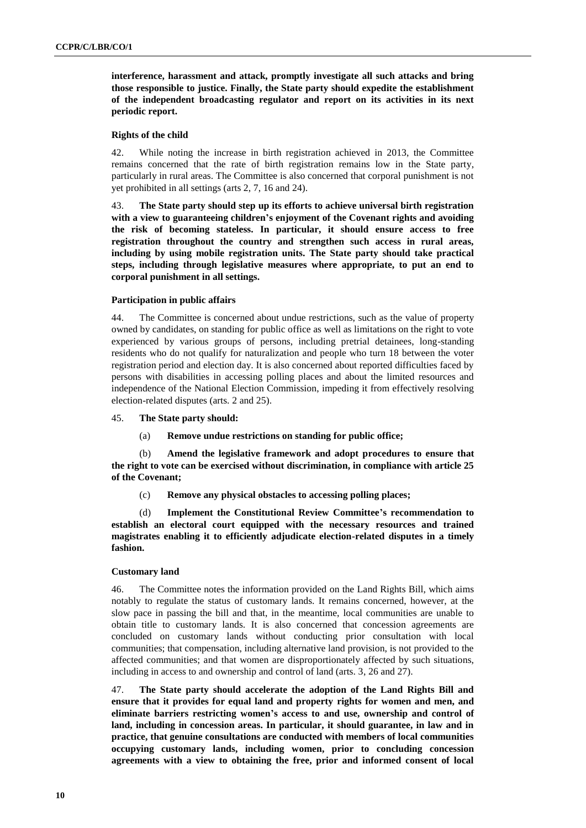**interference, harassment and attack, promptly investigate all such attacks and bring those responsible to justice. Finally, the State party should expedite the establishment of the independent broadcasting regulator and report on its activities in its next periodic report.** 

#### **Rights of the child**

42. While noting the increase in birth registration achieved in 2013, the Committee remains concerned that the rate of birth registration remains low in the State party, particularly in rural areas. The Committee is also concerned that corporal punishment is not yet prohibited in all settings (arts 2, 7, 16 and 24).

43. **The State party should step up its efforts to achieve universal birth registration with a view to guaranteeing children's enjoyment of the Covenant rights and avoiding the risk of becoming stateless. In particular, it should ensure access to free registration throughout the country and strengthen such access in rural areas, including by using mobile registration units. The State party should take practical steps, including through legislative measures where appropriate, to put an end to corporal punishment in all settings.**

#### **Participation in public affairs**

44. The Committee is concerned about undue restrictions, such as the value of property owned by candidates, on standing for public office as well as limitations on the right to vote experienced by various groups of persons, including pretrial detainees, long-standing residents who do not qualify for naturalization and people who turn 18 between the voter registration period and election day. It is also concerned about reported difficulties faced by persons with disabilities in accessing polling places and about the limited resources and independence of the National Election Commission, impeding it from effectively resolving election-related disputes (arts. 2 and 25).

45. **The State party should:** 

(a) **Remove undue restrictions on standing for public office;** 

(b) **Amend the legislative framework and adopt procedures to ensure that the right to vote can be exercised without discrimination, in compliance with article 25 of the Covenant;** 

(c) **Remove any physical obstacles to accessing polling places;** 

(d) **Implement the Constitutional Review Committee's recommendation to establish an electoral court equipped with the necessary resources and trained magistrates enabling it to efficiently adjudicate election-related disputes in a timely fashion.** 

#### **Customary land**

46. The Committee notes the information provided on the Land Rights Bill, which aims notably to regulate the status of customary lands. It remains concerned, however, at the slow pace in passing the bill and that, in the meantime, local communities are unable to obtain title to customary lands. It is also concerned that concession agreements are concluded on customary lands without conducting prior consultation with local communities; that compensation, including alternative land provision, is not provided to the affected communities; and that women are disproportionately affected by such situations, including in access to and ownership and control of land (arts. 3, 26 and 27).

47. **The State party should accelerate the adoption of the Land Rights Bill and ensure that it provides for equal land and property rights for women and men, and eliminate barriers restricting women's access to and use, ownership and control of land, including in concession areas. In particular, it should guarantee, in law and in practice, that genuine consultations are conducted with members of local communities occupying customary lands, including women, prior to concluding concession agreements with a view to obtaining the free, prior and informed consent of local**